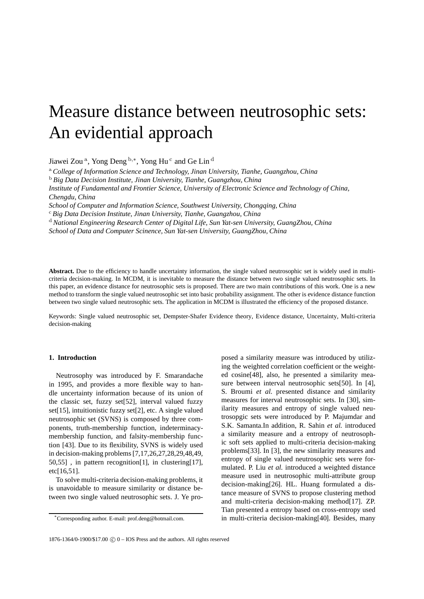# Measure distance between neutrosophic sets: An evidential approach

Jiawei Zou<sup>a</sup>, Yong Deng <sup>b,∗</sup>, Yong Hu<sup>c</sup> and Ge Lin<sup>d</sup>

<sup>a</sup> *College of Information Science and Technology, Jinan University, Tianhe, Guangzhou, China*

<sup>b</sup> *Big Data Decision Institute, Jinan University, Tianhe, Guangzhou, China*

*Institute of Fundamental and Frontier Science, University of Electronic Science and Technology of China, Chengdu, China*

*School of Computer and Information Science, Southwest University, Chongqing, China*

<sup>c</sup> *Big Data Decision Institute, Jinan University, Tianhe, Guangzhou, China*

<sup>d</sup> *National Engineering Research Center of Digital Life, Sun Yat-sen University, GuangZhou, China*

*School of Data and Computer Scinence, Sun Yat-sen University, GuangZhou, China*

**Abstract.** Due to the efficiency to handle uncertainty information, the single valued neutrosophic set is widely used in multicriteria decision-making. In MCDM, it is inevitable to measure the distance between two single valued neutrosophic sets. In this paper, an evidence distance for neutrosophic sets is proposed. There are two main contributions of this work. One is a new method to transform the single valued neutrosophic set into basic probability assignment. The other is evidence distance function between two single valued neutrosophic sets. The application in MCDM is illustrated the efficiency of the proposed distance.

Keywords: Single valued neutrosophic set, Dempster-Shafer Evidence theory, Evidence distance, Uncertainty, Multi-criteria decision-making

# **1. Introduction**

Neutrosophy was introduced by F. Smarandache in 1995, and provides a more flexible way to handle uncertainty information because of its union of the classic set, fuzzy set[52], interval valued fuzzy set[15], intuitionistic fuzzy set[2], etc. A single valued neutrosophic set (SVNS) is composed by three components, truth-membership function, indeterminacymembership function, and falsity-membership function [43]. Due to its flexibility, SVNS is widely used in decision-making problems [7,17,26,27,28,29,48,49, 50,55] , in pattern recognition[1], in clustering[17], etc[16,51].

To solve multi-criteria decision-making problems, it is unavoidable to measure similarity or distance between two single valued neutrosophic sets. J. Ye proposed a similarity measure was introduced by utilizing the weighted correlation coefficient or the weighted cosine[48], also, he presented a similarity measure between interval neutrosophic sets[50]. In [4], S. Broumi *et al.* presented distance and similarity measures for interval neutrosophic sets. In [30], similarity measures and entropy of single valued neutrosopgic sets were introduced by P. Majumdar and S.K. Samanta.In addition, R. Sahin *et al.* introduced a similarity measure and a entropy of neutrosophic soft sets applied to multi-criteria decision-making problems[33]. In [3], the new similarity measures and entropy of single valued neutrosophic sets were formulated. P. Liu *et al.* introduced a weighted distance measure used in neutrosophic multi-attribute group decision-making[26]. HL. Huang formulated a distance measure of SVNS to propose clustering method and multi-criteria decision-making method[17]. ZP. Tian presented a entropy based on cross-entropy used in multi-criteria decision-making[40]. Besides, many

<sup>\*</sup>Corresponding author. E-mail: prof.deng@hotmail.com.

 $1876-1364/0-1900/17.00$  (c)  $0 -$ IOS Press and the authors. All rights reserved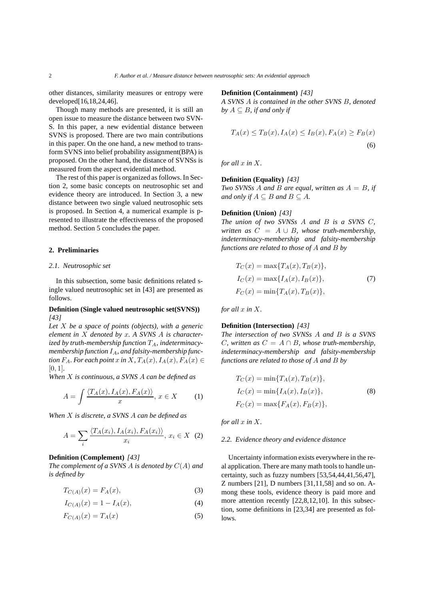other distances, similarity measures or entropy were developed[16,18,24,46].

Though many methods are presented, it is still an open issue to measure the distance between two SVN-S. In this paper, a new evidential distance between SVNS is proposed. There are two main contributions in this paper. On the one hand, a new method to transform SVNS into belief probability assignment(BPA) is proposed. On the other hand, the distance of SVNSs is measured from the aspect evidential method.

The rest of this paper is organized as follows. In Section 2, some basic concepts on neutrosophic set and evidence theory are introduced. In Section 3, a new distance between two single valued neutrosophic sets is proposed. In Section 4, a numerical example is presented to illustrate the effectiveness of the proposed method. Section 5 concludes the paper.

## **2. Preliminaries**

### *2.1. Neutrosophic set*

In this subsection, some basic definitions related single valued neutrosophic set in [43] are presented as follows.

# **Definition (Single valued neutrosophic set(SVNS))** *[43]*

*Let* X *be a space of points (objects), with a generic element in* X *denoted by* x*. A SVNS* A *is character* $i$ *zed by truth-membership function*  $T_A$ *, indeterminacy*membership function  $I_A$ , and falsity-membership func*tion*  $F_A$ *. For each point* x *in* X,  $T_A(x)$ ,  $I_A(x)$ ,  $F_A(x) \in$ [0, 1]*.*

*When* X *is continuous, a SVNS* A *can be defined as*

$$
A = \int \frac{\langle T_A(x), I_A(x), F_A(x) \rangle}{x}, \, x \in X \tag{1}
$$

*When* X *is discrete, a SVNS* A *can be defined as*

$$
A = \sum_{i} \frac{\langle T_A(x_i), I_A(x_i), F_A(x_i) \rangle}{x_i}, \, x_i \in X \tag{2}
$$

## **Definition (Complement)** *[43]*

*The complement of a SVNS* A *is denoted by* C(A) *and is defined by*

$$
T_{C(A)}(x) = F_A(x),\tag{3}
$$

$$
I_{C(A)}(x) = 1 - I_A(x),
$$
\n(4)

$$
F_{C(A)}(x) = T_A(x) \tag{5}
$$

**Definition (Containment)** *[43]*

*A SVNS* A *is contained in the other SVNS* B*, denoted by*  $A \subseteq B$ *, if and only if* 

$$
T_A(x) \le T_B(x), I_A(x) \le I_B(x), F_A(x) \ge F_B(x)
$$
\n
$$
(6)
$$

*for all*  $x$  *in*  $X$ *.* 

## **Definition (Equality)** *[43]*

*Two SVNSs* A *and* B *are equal, written as* A = B*, if and only if*  $A \subseteq B$  *and*  $B \subseteq A$ *.* 

## **Definition (Union)** *[43]*

*The union of two SVNSs* A *and* B *is a SVNS* C*, written as*  $C = A \cup B$ *, whose truth-membership*, *indeterminacy-membership and falsity-membership functions are related to those of* A *and* B *by*

$$
T_C(x) = \max\{T_A(x), T_B(x)\},
$$
  
\n
$$
I_C(x) = \max\{I_A(x), I_B(x)\},
$$
  
\n
$$
F_C(x) = \min\{T_A(x), T_B(x)\},
$$
\n(7)

*for all*  $x$  *in*  $X$ *.* 

## **Definition (Intersection)** *[43]*

*The intersection of two SVNSs* A *and* B *is a SVNS C*, written as  $C = A \cap B$ , whose truth-membership, *indeterminacy-membership and falsity-membership functions are related to those of* A *and* B *by*

$$
T_C(x) = \min\{T_A(x), T_B(x)\},
$$
  
\n
$$
I_C(x) = \min\{I_A(x), I_B(x)\},
$$
  
\n
$$
F_C(x) = \max\{F_A(x), F_B(x)\},
$$
  
\n(8)

*for all*  $x$  *in*  $X$ *.* 

# *2.2. Evidence theory and evidence distance*

Uncertainty information exists everywhere in the real application. There are many math tools to handle uncertainty, such as fuzzy numbers [53,54,44,41,56,47], Z numbers [21], D numbers [31,11,58] and so on. Among these tools, evidence theory is paid more and more attention recently [22,8,12,10]. In this subsection, some definitions in [23,34] are presented as follows.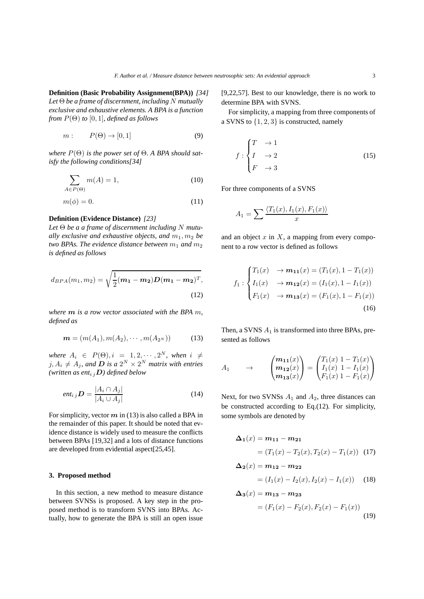**Definition (Basic Probability Assignment(BPA))** *[34] Let* Θ *be a frame of discernment, including* N *mutually exclusive and exhaustive elements. A BPA is a function from*  $P(\Theta)$  *to*  $[0, 1]$ *, defined as follows* 

$$
m: P(\Theta) \to [0,1] \tag{9}
$$

*where* P(Θ) *is the power set of* Θ*. A BPA should satisfy the following conditions[34]*

$$
\sum_{A \in P(\Theta)} m(A) = 1,\tag{10}
$$

$$
m(\phi) = 0.\t(11)
$$

## **Definition (Evidence Distance)** *[23]*

*Let* Θ *be a a frame of discernment including* N *mutually exclusive and exhaustive objects, and*  $m_1, m_2$  *be two BPAs. The evidence distance between*  $m_1$  *and*  $m_2$ *is defined as follows*

$$
d_{BPA}(m_1, m_2) = \sqrt{\frac{1}{2}(m_1 - m_2)D(m_1 - m_2)^T},
$$
\n(12)

*where* m *is a row vector associated with the BPA* m*, defined as*

$$
\mathbf{m} = (m(A_1), m(A_2), \cdots, m(A_{2^N}))
$$
 (13)

where  $A_i \in P(\Theta), i = 1, 2, \cdots, 2^N$ , when  $i \neq$  $j, A_i \neq A_j$ , and **D** is a  $2^N \times 2^N$  matrix with entries *(written as ent<sub>i j</sub>D) defined below* 

$$
ent_{i j} \mathbf{D} = \frac{|A_i \cap A_j|}{|A_i \cup A_j|} \tag{14}
$$

For simplicity, vector  $m$  in (13) is also called a BPA in the remainder of this paper. It should be noted that evidence distance is widely used to measure the conflicts between BPAs [19,32] and a lots of distance functions are developed from evidential aspect[25,45].

# **3. Proposed method**

In this section, a new method to measure distance between SVNSs is proposed. A key step in the proposed method is to transform SVNS into BPAs. Actually, how to generate the BPA is still an open issue [9,22,57]. Best to our knowledge, there is no work to determine BPA with SVNS.

For simplicity, a mapping from three components of a SVNS to {1, 2, 3} is constructed, namely

$$
\begin{array}{ccc}\n & T & \to 1 \\
I & \to 2 \\
F & \to 3\n\end{array}
$$
\n(15)

For three components of a SVNS

 $\mathbf f$ 

$$
A_1 = \sum \frac{\langle T_1(x), I_1(x), F_1(x) \rangle}{x}
$$

and an object  $x$  in  $X$ , a mapping from every component to a row vector is defined as follows

$$
f_1: \begin{cases} T_1(x) & \to m_{11}(x) = (T_1(x), 1 - T_1(x)) \\ I_1(x) & \to m_{12}(x) = (I_1(x), 1 - I_1(x)) \\ F_1(x) & \to m_{13}(x) = (F_1(x), 1 - F_1(x)) \end{cases} \tag{16}
$$

Then, a SVNS  $A_1$  is transformed into three BPAs, presented as follows

$$
A_1 \longrightarrow \begin{pmatrix} m_{11}(x) \\ m_{12}(x) \\ m_{13}(x) \end{pmatrix} = \begin{pmatrix} T_1(x) & 1 - T_1(x) \\ I_1(x) & 1 - I_1(x) \\ F_1(x) & 1 - F_1(x) \end{pmatrix}
$$

Next, for two SVNSs  $A_1$  and  $A_2$ , three distances can be constructed according to Eq.(12). For simplicity, some symbols are denoted by

$$
\Delta_1(x) = m_{11} - m_{21}
$$
  
=  $(T_1(x) - T_2(x), T_2(x) - T_1(x))$  (17)

$$
\Delta_2(x) = m_{12} - m_{22}
$$
  
=  $(I_1(x) - I_2(x), I_2(x) - I_1(x))$  (18)

$$
\Delta_3(x) = m_{13} - m_{23}
$$
  
=  $(F_1(x) - F_2(x), F_2(x) - F_1(x))$  (19)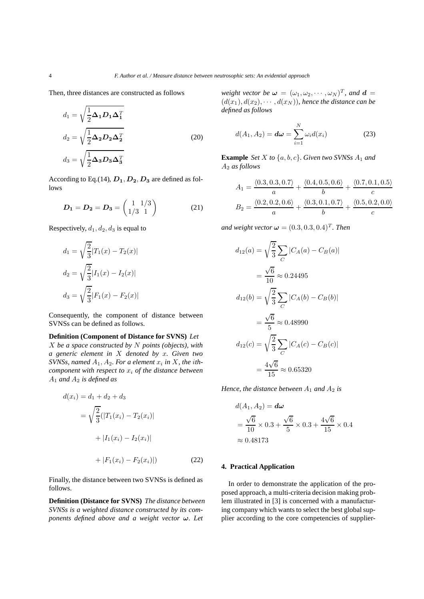Then, three distances are constructed as follows

$$
d_1 = \sqrt{\frac{1}{2} \Delta_1 D_1 \Delta_1^T}
$$
  
\n
$$
d_2 = \sqrt{\frac{1}{2} \Delta_2 D_2 \Delta_2^T}
$$
  
\n
$$
d_3 = \sqrt{\frac{1}{2} \Delta_3 D_3 \Delta_3^T}
$$
\n(20)

According to Eq.(14),  $D_1, D_2, D_3$  are defined as follows

$$
D_1 = D_2 = D_3 = \begin{pmatrix} 1 & 1/3 \\ 1/3 & 1 \end{pmatrix}
$$
 (21)

Respectively,  $d_1, d_2, d_3$  is equal to

$$
d_1 = \sqrt{\frac{2}{3}} |T_1(x) - T_2(x)|
$$
  
\n
$$
d_2 = \sqrt{\frac{2}{3}} |I_1(x) - I_2(x)|
$$
  
\n
$$
d_3 = \sqrt{\frac{2}{3}} |F_1(x) - F_2(x)|
$$

Consequently, the component of distance between SVNSs can be defined as follows.

# **Definition (Component of Distance for SVNS)** *Let*

X *be a space constructed by* N *points (objects), with a generic element in* X *denoted by* x*. Given two SVNSs, named*  $A_1$ ,  $A_2$ *. For a element*  $x_i$  *in*  $X$ *, the ithcomponent with respect to*  $x_i$  *of the distance between* A<sup>1</sup> *and* A<sup>2</sup> *is defined as*

$$
d(x_i) = d_1 + d_2 + d_3
$$
  
=  $\sqrt{\frac{2}{3}}(|T_1(x_i) - T_2(x_i)|$   
+  $|I_1(x_i) - I_2(x_i)|$   
+  $|F_1(x_i) - F_2(x_i)|$  (22)

Finally, the distance between two SVNSs is defined as follows.

**Definition (Distance for SVNS)** *The distance between SVNSs is a weighted distance constructed by its components defined above and a weight vector* ω*. Let*

*weight vector be*  $\boldsymbol{\omega} = (\omega_1, \omega_2, \cdots, \omega_N)^T$ *, and*  $\boldsymbol{d} =$  $(d(x_1), d(x_2), \cdots, d(x_N))$ , hence the distance can be *defined as follows*

$$
d(A_1, A_2) = d\boldsymbol{\omega} = \sum_{i=1}^{N} \omega_i d(x_i)
$$
 (23)

**Example** *Set* X *to*  $\{a, b, c\}$ *. Given two SVNSs*  $A_1$  *and* A<sup>2</sup> *as follows*

$$
A_1 = \frac{\langle 0.3, 0.3, 0.7 \rangle}{a} + \frac{\langle 0.4, 0.5, 0.6 \rangle}{b} + \frac{\langle 0.7, 0.1, 0.5 \rangle}{c}
$$

$$
B_2 = \frac{\langle 0.2, 0.2, 0.6 \rangle}{a} + \frac{\langle 0.3, 0.1, 0.7 \rangle}{b} + \frac{\langle 0.5, 0.2, 0.0 \rangle}{c}
$$

and weight vector  $\boldsymbol{\omega} = (0.3, 0.3, 0.4)^T$ *. Then* 

$$
d_{12}(a) = \sqrt{\frac{2}{3}} \sum_{C} |C_A(a) - C_B(a)|
$$
  
=  $\frac{\sqrt{6}}{10} \approx 0.24495$   

$$
d_{12}(b) = \sqrt{\frac{2}{3}} \sum_{C} |C_A(b) - C_B(b)|
$$
  
=  $\frac{\sqrt{6}}{5} \approx 0.48990$   

$$
d_{12}(c) = \sqrt{\frac{2}{3}} \sum_{C} |C_A(c) - C_B(c)|
$$
  
=  $\frac{4\sqrt{6}}{15} \approx 0.65320$ 

*Hence, the distance between*  $A_1$  *and*  $A_2$  *is* 

$$
d(A_1, A_2) = d\omega
$$
  
=  $\frac{\sqrt{6}}{10} \times 0.3 + \frac{\sqrt{6}}{5} \times 0.3 + \frac{4\sqrt{6}}{15} \times 0.4$   
 $\approx 0.48173$ 

## **4. Practical Application**

In order to demonstrate the application of the proposed approach, a multi-criteria decision making problem illustrated in [3] is concerned with a manufacturing company which wants to select the best global supplier according to the core competencies of supplier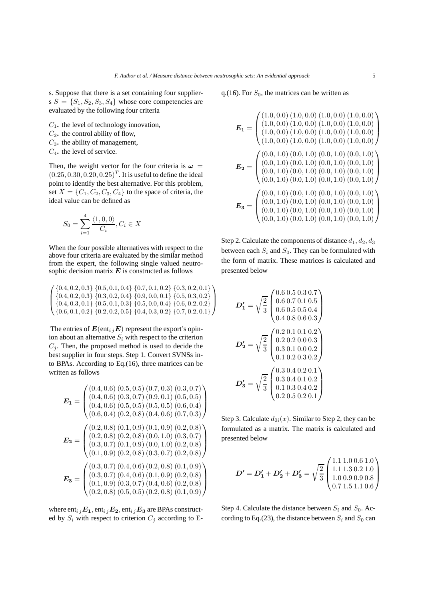s. Suppose that there is a set containing four suppliers  $S = \{S_1, S_2, S_3, S_4\}$  whose core competencies are evaluated by the following four criteria

- C1**.** the level of technology innovation,
- $C_2$ . the control ability of flow,
- C3**.** the ability of management,
- C4**.** the level of service.

Then, the weight vector for the four criteria is  $\omega =$  $(0.25, 0.30, 0.20, 0.25)^T$ . It is useful to define the ideal point to identify the best alternative. For this problem, set  $X = \{C_1, C_2, C_3, C_4\}$  to the space of criteria, the ideal value can be defined as

$$
S_0 = \sum_{i=1}^{4} \frac{\langle 1, 0, 0 \rangle}{C_i}, C_i \in X
$$

When the four possible alternatives with respect to the above four criteria are evaluated by the similar method from the expert, the following single valued neutrosophic decision matrix  $E$  is constructed as follows

 $\sqrt{ }$  $\left\{\n \begin{array}{c}\n \{0.4, 0.2, 0.3\} \{0.3, 0.2, 0.4\} \{0.9, 0.0, 0.1\} \{0.5, 0.3, 0.2\} \\
 \{0.4, 0.3, 0.1\} \{0.5, 0.1, 0.3\} \{0.5, 0.0, 0.4\} \{0.6, 0.2, 0.2\}\n \end{array}\n \right.$  ${0.4, 0.2, 0.3}$   ${0.5, 0.1, 0.4}$   ${0.7, 0.1, 0.2}$   ${0.3, 0.2, 0.1}$  $\{0.4, 0.3, 0.1\}$   $\{0.5, 0.1, 0.3\}$   $\{0.5, 0.0, 0.4\}$   $\{0.6, 0.2, 0.2\}$  $\{0.6, 0.1, 0.2\} \{0.2, 0.2, 0.5\} \{0.4, 0.3, 0.2\} \{0.7, 0.2, 0.1\}$  $\setminus$  $\Big\}$ 

The entries of  $E(\text{ent}_{i,j}E)$  represent the export's opinion about an alternative  $S_i$  with respect to the criterion  $C_i$ . Then, the proposed method is used to decide the best supplier in four steps. Step 1. Convert SVNSs into BPAs. According to Eq.(16), three matrices can be written as follows

$$
E_1 = \begin{pmatrix} (0.4, 0.6) & (0.5, 0.5) & (0.7, 0.3) & (0.3, 0.7) \\ (0.4, 0.6) & (0.3, 0.7) & (0.9, 0.1) & (0.5, 0.5) \\ (0.4, 0.6) & (0.5, 0.5) & (0.5, 0.5) & (0.6, 0.4) \\ (0.6, 0.4) & (0.2, 0.8) & (0.4, 0.6) & (0.7, 0.3) \end{pmatrix}
$$

$$
E_2 = \begin{pmatrix} (0.2, 0.8) & (0.1, 0.9) & (0.1, 0.9) & (0.2, 0.8) \\ (0.2, 0.8) & (0.2, 0.8) & (0.0, 1.0) & (0.3, 0.7) \\ (0.3, 0.7) & (0.1, 0.9) & (0.0, 1.0) & (0.2, 0.8) \\ (0.1, 0.9) & (0.2, 0.8) & (0.3, 0.7) & (0.2, 0.8) \end{pmatrix}
$$

$$
E_3 = \begin{pmatrix} (0.3, 0.7) & (0.4, 0.6) & (0.2, 0.8) & (0.1, 0.9) \\ (0.3, 0.7) & (0.4, 0.6) & (0.2, 0.8) & (0.1, 0.9) \\ (0.1, 0.9) & (0.3, 0.7) & (0.4, 0.6) & (0.2, 0.8) \\ (0.2, 0.8) & (0.5, 0.5) & (0.2, 0.8) & (0.1, 0.9) \end{pmatrix}
$$

where  $ent_{i j}E_1, ent_{i j}E_2, ent_{i j}E_3$  are BPAs constructed by  $S_i$  with respect to criterion  $C_j$  according to E- q.(16). For  $S_0$ , the matrices can be written as

$$
E_1 = \begin{pmatrix} (1.0, 0.0) (1.0, 0.0) (1.0, 0.0) (1.0, 0.0) (1.0, 0.0) \\ (1.0, 0.0) (1.0, 0.0) (1.0, 0.0) (1.0, 0.0) \\ (1.0, 0.0) (1.0, 0.0) (1.0, 0.0) (1.0, 0.0) \\ (1.0, 0.0) (1.0, 0.0) (1.0, 0.0) (1.0, 0.0) \end{pmatrix}
$$
  
\n
$$
E_2 = \begin{pmatrix} (0.0, 1.0) (0.0, 1.0) (0.0, 1.0) (0.0, 1.0) \\ (0.0, 1.0) (0.0, 1.0) (0.0, 1.0) (0.0, 1.0) \\ (0.0, 1.0) (0.0, 1.0) (0.0, 1.0) (0.0, 1.0) \end{pmatrix}
$$
  
\n
$$
E_3 = \begin{pmatrix} (0.0, 1.0) (0.0, 1.0) (0.0, 1.0) (0.0, 1.0) \\ (0.0, 1.0) (0.0, 1.0) (0.0, 1.0) (0.0, 1.0) \\ (0.0, 1.0) (0.0, 1.0) (0.0, 1.0) (0.0, 1.0) \\ (0.0, 1.0) (0.0, 1.0) (0.0, 1.0) (0.0, 1.0) \end{pmatrix}
$$

Step 2. Calculate the components of distance  $d_1, d_2, d_3$ between each  $S_i$  and  $S_0$ . They can be formulated with the form of matrix. These matrices is calculated and presented below

$$
D'_1 = \sqrt{\frac{2}{3}} \begin{pmatrix} 0.6 & 0.5 & 0.3 & 0.7 \\ 0.6 & 0.7 & 0.1 & 0.5 \\ 0.6 & 0.5 & 0.5 & 0.4 \\ 0.4 & 0.8 & 0.6 & 0.3 \end{pmatrix}
$$

$$
D'_2 = \sqrt{\frac{2}{3}} \begin{pmatrix} 0.2 & 0.1 & 0.1 & 0.2 \\ 0.2 & 0.2 & 0.0 & 0.3 \\ 0.3 & 0.1 & 0.0 & 0.2 \\ 0.1 & 0.2 & 0.3 & 0.2 \end{pmatrix}
$$

$$
D'_3 = \sqrt{\frac{2}{3}} \begin{pmatrix} 0.3 & 0.4 & 0.2 & 0.1 \\ 0.3 & 0.4 & 0.2 & 0.1 \\ 0.1 & 0.3 & 0.4 & 0.2 \\ 0.2 & 0.5 & 0.2 & 0.1 \end{pmatrix}
$$

Step 3. Calculate  $d_{0i}(x)$ . Similar to Step 2, they can be formulated as a matrix. The matrix is calculated and presented below

$$
D' = D'_1 + D'_2 + D'_3 = \sqrt{\frac{2}{3}} \begin{pmatrix} 1.1 & 1.0 & 0.6 & 1.0 \\ 1.1 & 1.3 & 0.2 & 1.0 \\ 1.0 & 0.9 & 0.9 & 0.8 \\ 0.7 & 1.5 & 1.1 & 0.6 \end{pmatrix}
$$

Step 4. Calculate the distance between  $S_i$  and  $S_0$ . According to Eq.(23), the distance between  $S_i$  and  $S_0$  can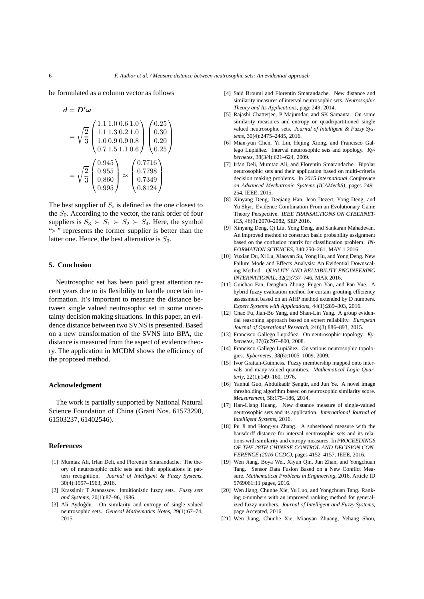be formulated as a column vector as follows

 $\mathbf{v}$ 

$$
a = D \omega
$$
  
=  $\sqrt{\frac{2}{3}} \begin{pmatrix} 1.1 & 1.0 & 0.6 & 1.0 \\ 1.1 & 1.3 & 0.2 & 1.0 \\ 1.0 & 0.9 & 0.9 & 0.8 \\ 0.7 & 1.5 & 1.1 & 0.6 \end{pmatrix} \begin{pmatrix} 0.25 \\ 0.30 \\ 0.20 \\ 0.25 \end{pmatrix}$   
=  $\sqrt{\frac{2}{3}} \begin{pmatrix} 0.945 \\ 0.955 \\ 0.860 \\ 0.995 \end{pmatrix} \approx \begin{pmatrix} 0.7716 \\ 0.7349 \\ 0.7349 \\ 0.8124 \end{pmatrix}$ 

The best supplier of  $S_i$  is defined as the one closest to the  $S_0$ . According to the vector, the rank order of four suppliers is  $S_3 \succ S_1 \succ S_2 \succ S_4$ . Here, the symbol "≻" represents the former supplier is better than the latter one. Hence, the best alternative is  $S_3$ .

#### **5. Conclusion**

Neutrosophic set has been paid great attention recent years due to its flexibility to handle uncertain information. It's important to measure the distance between single valued neutrosophic set in some uncertainty decision making situations. In this paper, an evidence distance between two SVNS is presented. Based on a new transformation of the SVNS into BPA, the distance is measured from the aspect of evidence theory. The application in MCDM shows the efficiency of the proposed method.

## **Acknowledgment**

The work is partially supported by National Natural Science Foundation of China (Grant Nos. 61573290, 61503237, 61402546).

#### **References**

- [1] Mumtaz Ali, Irfan Deli, and Florentin Smarandache. The theory of neutrosophic cubic sets and their applications in pattern recognition. *Journal of Intelligent & Fuzzy Systems*, 30(4):1957–1963, 2016.
- [2] Krassimir T Atanassov. Intuitionistic fuzzy sets. *Fuzzy sets and Systems*, 20(1):87–96, 1986.
- [3] Ali Aydoğdu. On similarity and entropy of single valued neutrosophic sets. *General Mathematics Notes*, 29(1):67–74, 2015.
- [4] Said Broumi and Florentin Smarandache. New distance and similarity measures of interval neutrosophic sets. *Neutrosophic Theory and Its Applications*, page 249, 2014.
- [5] Rajashi Chatterjee, P Majumdar, and SK Samanta. On some similarity measures and entropy on quadripartitioned single valued neutrosophic sets. *Journal of Intelligent & Fuzzy Systems*, 30(4):2475–2485, 2016.
- [6] Mian-yun Chen, Yi Lin, Hejing Xiong, and Francisco Gallego Lupiáñez. Interval neutrosophic sets and topology. *Kybernetes*, 38(3/4):621–624, 2009.
- [7] Irfan Deli, Mumtaz Ali, and Florentin Smarandache. Bipolar neutrosophic sets and their application based on multi-criteria decision making problems. In *2015 International Conference on Advanced Mechatronic Systems (ICAMechS)*, pages 249– 254. IEEE, 2015.
- [8] Xinyang Deng, Deqiang Han, Jean Dezert, Yong Deng, and Yu Shyr. Evidence Combination From an Evolutionary Game Theory Perspective. *IEEE TRANSACTIONS ON CYBERNET-ICS*, 46(9):2070–2082, SEP 2016.
- [9] Xinyang Deng, Qi Liu, Yong Deng, and Sankaran Mahadevan. An improved method to construct basic probability assignment based on the confusion matrix for classification problem. *IN-FORMATION SCIENCES*, 340:250–261, MAY 1 2016.
- [10] Yuxian Du, Xi Lu, Xiaoyan Su, Yong Hu, and Yong Deng. New Failure Mode and Effects Analysis: An Evidential Downscaling Method. *QUALITY AND RELIABILITY ENGINEERING INTERNATIONAL*, 32(2):737–746, MAR 2016.
- [11] Guichao Fan, Denghua Zhong, Fugen Yan, and Pan Yue. A hybrid fuzzy evaluation method for curtain grouting efficiency assessment based on an AHP method extended by D numbers. *Expert Systems with Applications*, 44(1):289–303, 2016.
- [12] Chao Fu, Jian-Bo Yang, and Shan-Lin Yang. A group evidential reasoning approach based on expert reliability. *European Journal of Operational Research*, 246(3):886–893, 2015.
- [13] Francisco Gallego Lupiáñez. On neutrosophic topology. *Kybernetes*, 37(6):797–800, 2008.
- [14] Francisco Gallego Lupiáñez. On various neutrosophic topologies. *Kybernetes*, 38(6):1005–1009, 2009.
- [15] Ivor Grattan-Guinness. Fuzzy membership mapped onto intervals and many-valued quantities. *Mathematical Logic Quarterly*, 22(1):149–160, 1976.
- [16] Yanhui Guo, Abdulkadir Şengür, and Jun Ye. A novel image thresholding algorithm based on neutrosophic similarity score. *Measurement*, 58:175–186, 2014.
- [17] Han-Liang Huang. New distance measure of single-valued neutrosophic sets and its application. *International Journal of Intelligent Systems*, 2016.
- [18] Pu Ji and Hong-yu Zhang. A subsethood measure with the hausdorff distance for interval neutrosophic sets and its relations with similarity and entropy measures. In *PROCEEDINGS OF THE 28TH CHINESE CONTROL AND DECISION CON-FERENCE (2016 CCDC)*, pages 4152–4157. IEEE, 2016.
- [19] Wen Jiang, Boya Wei, Xiyun Qin, Jun Zhan, and Yongchuan Tang. Sensor Data Fusion Based on a New Conflict Measure. *Mathematical Problems in Engineering*, 2016, Article ID 5769061:11 pages, 2016.
- [20] Wen Jiang, Chunhe Xie, Yu Luo, and Yongchuan Tang. Ranking z-numbers with an improved ranking method for generalized fuzzy numbers. *Journal of Intelligent and Fuzzy Systems*, page Accepted, 2016.
- [21] Wen Jiang, Chunhe Xie, Miaoyan Zhuang, Yehang Shou,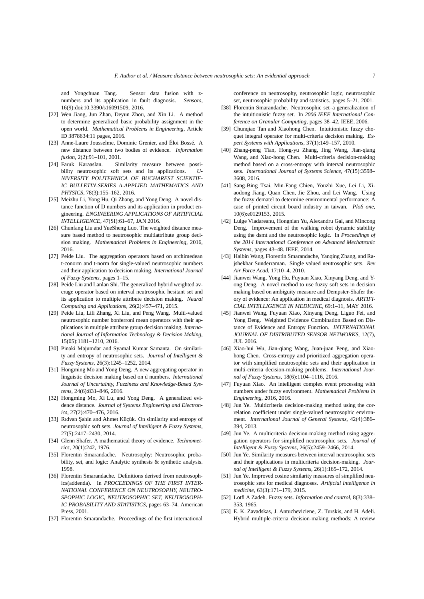and Yongchuan Tang. Sensor data fusion with znumbers and its application in fault diagnosis. *Sensors*, 16(9):doi:10.3390/s16091509, 2016.

- [22] Wen Jiang, Jun Zhan, Deyun Zhou, and Xin Li. A method to determine generalized basic probability assignment in the open world. *Mathematical Problems in Engineering*, Article ID 3878634:11 pages, 2016.
- [23] Anne-Laure Jousselme, Dominic Grenier, and Éloi Bossé. A new distance between two bodies of evidence. *Information fusion*, 2(2):91–101, 2001.
- [24] Faruk Karaaslan. Similarity measure between possibility neutrosophic soft sets and its applications. *U-NIVERSITY POLITEHNICA OF BUCHAREST SCIENTIF-IC BULLETIN-SERIES A-APPLIED MATHEMATICS AND PHYSICS*, 78(3):155–162, 2016.
- [25] Meizhu Li, Yong Hu, Qi Zhang, and Yong Deng. A novel distance function of D numbers and its application in product engineering. *ENGINEERING APPLICATIONS OF ARTIFICIAL INTELLIGENCE*, 47(SI):61–67, JAN 2016.
- [26] Chunfang Liu and YueSheng Luo. The weighted distance measure based method to neutrosophic multiattribute group decision making. *Mathematical Problems in Engineering*, 2016, 2016.
- [27] Peide Liu. The aggregation operators based on archimedean t-conorm and t-norm for single-valued neutrosophic numbers and their application to decision making. *International Journal of Fuzzy Systems*, pages 1–15.
- [28] Peide Liu and Lanlan Shi. The generalized hybrid weighted average operator based on interval neutrosophic hesitant set and its application to multiple attribute decision making. *Neural Computing and Applications*, 26(2):457–471, 2015.
- [29] Peide Liu, Lili Zhang, Xi Liu, and Peng Wang. Multi-valued neutrosophic number bonferroni mean operators with their applications in multiple attribute group decision making. *International Journal of Information Technology & Decision Making*, 15(05):1181–1210, 2016.
- [30] Pinaki Majumdar and Syamal Kumar Samanta. On similarity and entropy of neutrosophic sets. *Journal of Intelligent & Fuzzy Systems*, 26(3):1245–1252, 2014.
- [31] Hongming Mo and Yong Deng. A new aggregating operator in linguistic decision making based on d numbers. *International Journal of Uncertainty, Fuzziness and Knowledge-Based Systems*, 24(6):831–846, 2016.
- [32] Hongming Mo, Xi Lu, and Yong Deng. A generalized evidence distance. *Journal of Systems Engineering and Electronics*, 27(2):470–476, 2016.
- [33] Ridvan Sahin and Ahmet Küçük. On similarity and entropy of neutrosophic soft sets. *Journal of Intelligent & Fuzzy Systems*, 27(5):2417–2430, 2014.
- [34] Glenn Shafer. A mathematical theory of evidence. *Technometrics*, 20(1):242, 1976.
- [35] Florentin Smarandache. Neutrosophy: Neutrosophic probability, set, and logic: Analytic synthesis & synthetic analysis. 1998.
- [36] Florentin Smarandache. Definitions derived from neutrosophics(addenda). In *PROCEEDINGS OF THE FIRST INTER-NATIONAL CONFERENCE ON NEUTROSOPHY, NEUTRO-SPOPHIC LOGIC, NEUTROSOPHIC SET, NEUTROSOPH-IC PROBABILITY AND STATISTICS*, pages 63–74. American Press, 2001.
- [37] Florentin Smarandache. Proceedings of the first international

conference on neutrosophy, neutrosophic logic, neutrosophic set, neutrosophic probability and statistics. pages 5–21, 2001.

- [38] Florentin Smarandache. Neutrosophic set–a generalization of the intuitionistic fuzzy set. In *2006 IEEE International Conference on Granular Computing*, pages 38–42. IEEE, 2006.
- [39] Chunqiao Tan and Xiaohong Chen. Intuitionistic fuzzy choquet integral operator for multi-criteria decision making. *Expert Systems with Applications*, 37(1):149–157, 2010.
- [40] Zhang-peng Tian, Hong-yu Zhang, Jing Wang, Jian-qiang Wang, and Xiao-hong Chen. Multi-criteria decision-making method based on a cross-entropy with interval neutrosophic sets. *International Journal of Systems Science*, 47(15):3598– 3608, 2016.
- [41] Sang-Bing Tsai, Min-Fang Chien, Youzhi Xue, Lei Li, Xiaodong Jiang, Quan Chen, Jie Zhou, and Lei Wang. Using the fuzzy dematel to determine environmental performance: A case of printed circuit board industry in taiwan. *PloS one*, 10(6):e0129153, 2015.
- [42] Luige Vladareanu, Hongnian Yu, Alexandru Gal, and Mincong Deng. Improvement of the walking robot dynamic stability using the dsmt and the neutrosophic logic. In *Proceedings of the 2014 International Conference on Advanced Mechatronic Systems*, pages 43–48. IEEE, 2014.
- [43] Haibin Wang, Florentin Smarandache, Yanqing Zhang, and Rajshekhar Sunderraman. Single valued neutrosophic sets. *Rev Air Force Acad*, 17:10–4, 2010.
- [44] Jianwei Wang, Yong Hu, Fuyuan Xiao, Xinyang Deng, and Yong Deng. A novel method to use fuzzy soft sets in decision making based on ambiguity measure and Dempster-Shafer theory of evidence: An application in medical diagnosis. *ARTIFI-CIAL INTELLIGENCE IN MEDICINE*, 69:1–11, MAY 2016.
- [45] Jianwei Wang, Fuyuan Xiao, Xinyang Deng, Liguo Fei, and Yong Deng. Weighted Evidence Combination Based on Distance of Evidence and Entropy Function. *INTERNATIONAL JOURNAL OF DISTRIBUTED SENSOR NETWORKS*, 12(7), JUL 2016.
- [46] Xiao-hui Wu, Jian-qiang Wang, Juan-juan Peng, and Xiaohong Chen. Cross-entropy and prioritized aggregation operator with simplified neutrosophic sets and their application in multi-criteria decision-making problems. *International Journal of Fuzzy Systems*, 18(6):1104–1116, 2016.
- [47] Fuyuan Xiao. An intelligent complex event processing with numbers under fuzzy environment. *Mathematical Problems in Engineering*, 2016, 2016.
- [48] Jun Ye. Multicriteria decision-making method using the correlation coefficient under single-valued neutrosophic environment. *International Journal of General Systems*, 42(4):386– 394, 2013.
- [49] Jun Ye. A multicriteria decision-making method using aggregation operators for simplified neutrosophic sets. *Journal of Intelligent & Fuzzy Systems*, 26(5):2459–2466, 2014.
- [50] Jun Ye. Similarity measures between interval neutrosophic sets and their applications in multicriteria decision-making. *Journal of Intelligent & Fuzzy Systems*, 26(1):165–172, 2014.
- [51] Jun Ye. Improved cosine similarity measures of simplified neutrosophic sets for medical diagnoses. *Artificial intelligence in medicine*, 63(3):171–179, 2015.
- [52] Lotfi A Zadeh. Fuzzy sets. *Information and control*, 8(3):338– 353, 1965.
- [53] E. K. Zavadskas, J. Antucheviciene, Z. Turskis, and H. Adeli. Hybrid multiple-criteria decision-making methods: A review